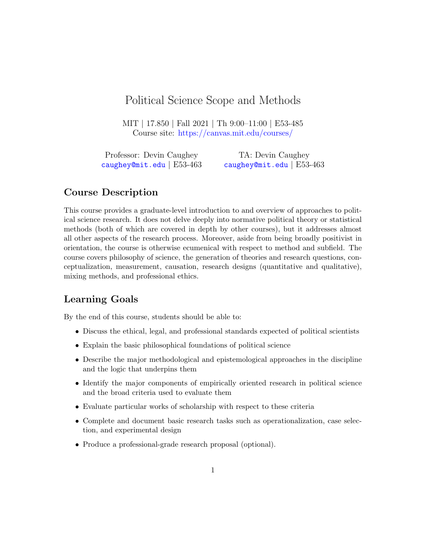# Political Science Scope and Methods

MIT | 17.850 | Fall 2021 | Th 9:00–11:00 | E53-485 Course site: <https://canvas.mit.edu/courses/>

Professor: Devin Caughey [caughey@mit.edu](mailto:caughey@mit.edu) | E53-463 TA: Devin Caughey [caughey@mit.edu](mailto:caughey@mit.edu) | E53-463

# Course Description

This course provides a graduate-level introduction to and overview of approaches to political science research. It does not delve deeply into normative political theory or statistical methods (both of which are covered in depth by other courses), but it addresses almost all other aspects of the research process. Moreover, aside from being broadly positivist in orientation, the course is otherwise ecumenical with respect to method and subfield. The course covers philosophy of science, the generation of theories and research questions, conceptualization, measurement, causation, research designs (quantitative and qualitative), mixing methods, and professional ethics.

# Learning Goals

By the end of this course, students should be able to:

- Discuss the ethical, legal, and professional standards expected of political scientists
- Explain the basic philosophical foundations of political science
- Describe the major methodological and epistemological approaches in the discipline and the logic that underpins them
- Identify the major components of empirically oriented research in political science and the broad criteria used to evaluate them
- Evaluate particular works of scholarship with respect to these criteria
- Complete and document basic research tasks such as operationalization, case selection, and experimental design
- Produce a professional-grade research proposal (optional).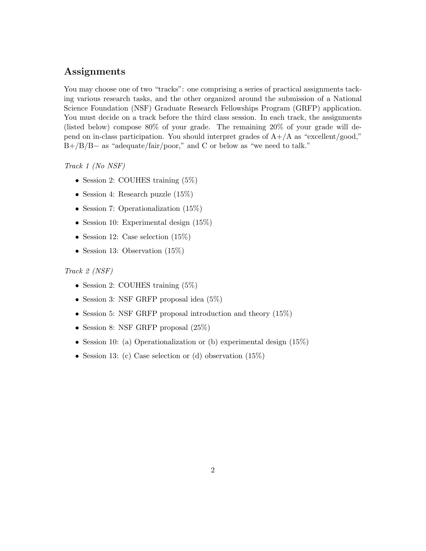# Assignments

You may choose one of two "tracks": one comprising a series of practical assignments tacking various research tasks, and the other organized around the submission of a National Science Foundation (NSF) Graduate Research Fellowships Program (GRFP) application. You must decide on a track before the third class session. In each track, the assignments (listed below) compose 80% of your grade. The remaining 20% of your grade will depend on in-class participation. You should interpret grades of  $A+/A$  as "excellent/good," B+/B/B− as "adequate/fair/poor," and C or below as "we need to talk."

Track 1 (No NSF)

- Session 2: COUHES training  $(5\%)$
- Session 4: Research puzzle (15%)
- Session 7: Operationalization (15%)
- Session 10: Experimental design  $(15\%)$
- Session 12: Case selection  $(15\%)$
- Session 13: Observation (15\%)

#### Track 2 (NSF)

- Session 2: COUHES training  $(5\%)$
- Session 3: NSF GRFP proposal idea (5%)
- Session 5: NSF GRFP proposal introduction and theory (15%)
- Session 8: NSF GRFP proposal  $(25\%)$
- Session 10: (a) Operationalization or (b) experimental design  $(15\%)$
- Session 13: (c) Case selection or (d) observation  $(15\%)$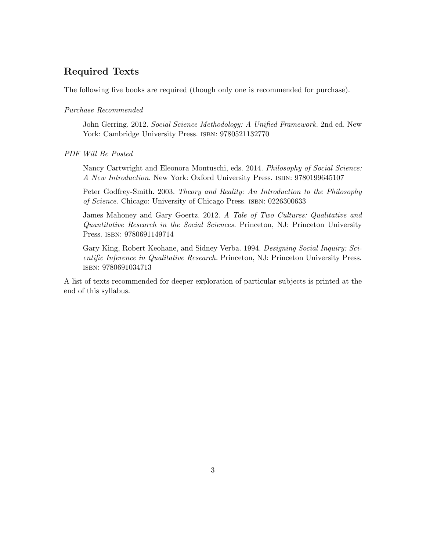# Required Texts

The following five books are required (though only one is recommended for purchase).

### Purchase Recommended

John Gerring. 2012. Social Science Methodology: A Unified Framework. 2nd ed. New York: Cambridge University Press. ISBN: 9780521132770

### PDF Will Be Posted

Nancy Cartwright and Eleonora Montuschi, eds. 2014. Philosophy of Social Science: A New Introduction. New York: Oxford University Press. isbn: 9780199645107

Peter Godfrey-Smith. 2003. Theory and Reality: An Introduction to the Philosophy of Science. Chicago: University of Chicago Press. isbn: 0226300633

James Mahoney and Gary Goertz. 2012. A Tale of Two Cultures: Qualitative and Quantitative Research in the Social Sciences. Princeton, NJ: Princeton University Press. isbn: 9780691149714

Gary King, Robert Keohane, and Sidney Verba. 1994. Designing Social Inquiry: Scientific Inference in Qualitative Research. Princeton, NJ: Princeton University Press. isbn: 9780691034713

A list of texts recommended for deeper exploration of particular subjects is printed at the end of this syllabus.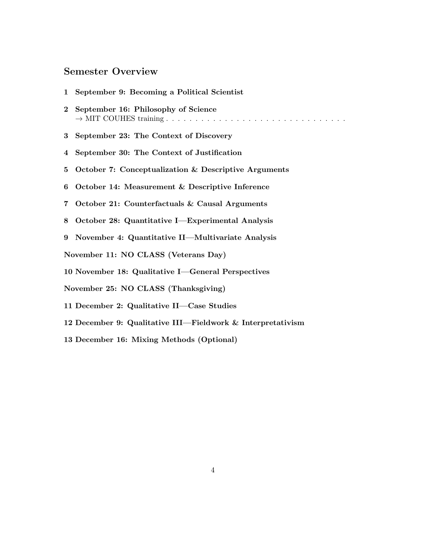# Semester Overview

|                                            | 1 September 9: Becoming a Political Scientist               |
|--------------------------------------------|-------------------------------------------------------------|
|                                            | 2 September 16: Philosophy of Science                       |
|                                            | 3 September 23: The Context of Discovery                    |
| $\overline{4}$                             | September 30: The Context of Justification                  |
|                                            | 5 October 7: Conceptualization & Descriptive Arguments      |
| 6                                          | October 14: Measurement & Descriptive Inference             |
|                                            | 7 October 21: Counterfactuals & Causal Arguments            |
|                                            | 8 October 28: Quantitative I—Experimental Analysis          |
|                                            | 9 November 4: Quantitative II—Multivariate Analysis         |
| November 11: NO CLASS (Veterans Day)       |                                                             |
|                                            | 10 November 18: Qualitative I-General Perspectives          |
| November 25: NO CLASS (Thanksgiving)       |                                                             |
| 11 December 2: Qualitative II-Case Studies |                                                             |
|                                            | 12 December 9: Qualitative III—Fieldwork & Interpretativism |
|                                            | 13 December 16: Mixing Methods (Optional)                   |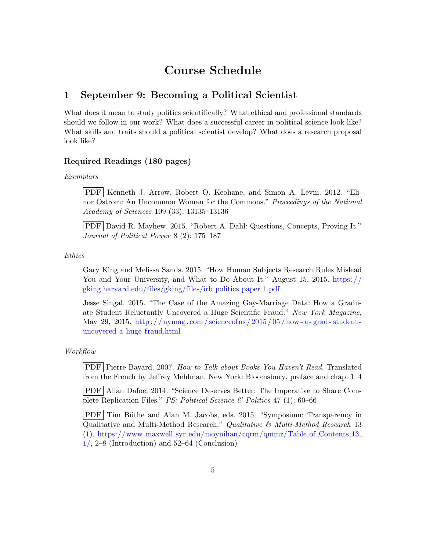# Course Schedule

# <span id="page-4-0"></span>1 September 9: Becoming a Political Scientist

What does it mean to study politics scientifically? What ethical and professional standards should we follow in our work? What does a successful career in political science look like? What skills and traits should a political scientist develop? What does a research proposal look like?

# Required Readings (180 pages)

## Exemplars

PDF Kenneth J. Arrow, Robert O. Keohane, and Simon A. Levin. 2012. "Elinor Ostrom: An Uncommon Woman for the Commons." Proceedings of the National Academy of Sciences 109 (33): 13135–13136

PDF David R. Mayhew. 2015. "Robert A. Dahl: Questions, Concepts, Proving It." Journal of Political Power 8 (2): 175–187

Ethics

Gary King and Melissa Sands. 2015. "How Human Subjects Research Rules Mislead You and Your University, and What to Do About It." August 15, 2015. [https://](https://gking.harvard.edu/files/gking/files/irb_politics_paper_1.pdf) [gking.harvard.edu/files/gking/files/irb](https://gking.harvard.edu/files/gking/files/irb_politics_paper_1.pdf) politics paper 1.pdf

Jesse Singal. 2015. "The Case of the Amazing Gay-Marriage Data: How a Graduate Student Reluctantly Uncovered a Huge Scientific Fraud." New York Magazine, May 29, 2015. http:// $n_{\text{sym}}$ .com/scienceofus/2015/05/how-a-grad-student[uncovered-a-huge-fraud.html](http://nymag.com/scienceofus/2015/05/how-a-grad-student-uncovered-a-huge-fraud.html)

Workflow

PDF Pierre Bayard. 2007. How to Talk about Books You Haven't Read. Translated from the French by Jeffrey Mehlman. New York: Bloomsbury, preface and chap. 1–4

PDF Allan Dafoe. 2014. "Science Deserves Better: The Imperative to Share Complete Replication Files." PS: Political Science & Politics 47 (1): 60–66

PDF Tim Büthe and Alan M. Jacobs, eds. 2015. "Symposium: Transparency in Qualitative and Multi-Method Research." Qualitative & Multi-Method Research 13 (1). [https://www.maxwell.syr.edu/moynihan/cqrm/qmmr/Table](https://www.maxwell.syr.edu/moynihan/cqrm/qmmr/Table_of_Contents_13_1/) of Contents 13  $1/$ , 2–8 (Introduction) and 52–64 (Conclusion)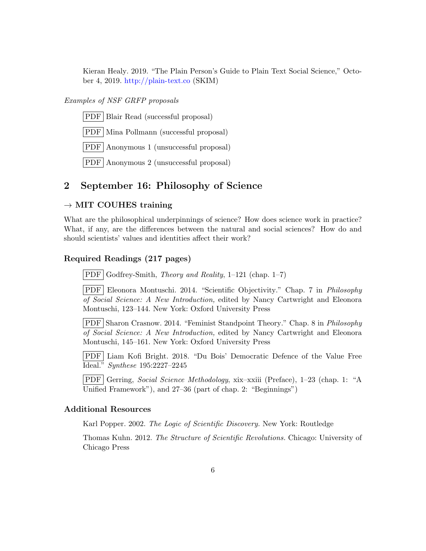Kieran Healy. 2019. "The Plain Person's Guide to Plain Text Social Science," October 4, 2019. <http://plain-text.co> (SKIM)

# Examples of NSF GRFP proposals

PDF Blair Read (successful proposal)

PDF Mina Pollmann (successful proposal)

PDF Anonymous 1 (unsuccessful proposal)

PDF Anonymous 2 (unsuccessful proposal)

# <span id="page-5-0"></span>2 September 16: Philosophy of Science

### $\rightarrow$  MIT COUHES training

<span id="page-5-1"></span>What are the philosophical underpinnings of science? How does science work in practice? What, if any, are the differences between the natural and social sciences? How do and should scientists' values and identities affect their work?

## Required Readings (217 pages)

 $\text{PDF}$  Godfrey-Smith, Theory and Reality, 1–121 (chap. 1–7)

PDF Eleonora Montuschi. 2014. "Scientific Objectivity." Chap. 7 in Philosophy of Social Science: A New Introduction, edited by Nancy Cartwright and Eleonora Montuschi, 123–144. New York: Oxford University Press

PDF Sharon Crasnow. 2014. "Feminist Standpoint Theory." Chap. 8 in Philosophy of Social Science: A New Introduction, edited by Nancy Cartwright and Eleonora Montuschi, 145–161. New York: Oxford University Press

PDF Liam Kofi Bright. 2018. "Du Bois' Democratic Defence of the Value Free Ideal." Synthese 195:2227–2245

PDF Gerring, Social Science Methodology, xix–xxiii (Preface), 1–23 (chap. 1: "A Unified Framework"), and 27–36 (part of chap. 2: "Beginnings")

## Additional Resources

Karl Popper. 2002. The Logic of Scientific Discovery. New York: Routledge

Thomas Kuhn. 2012. The Structure of Scientific Revolutions. Chicago: University of Chicago Press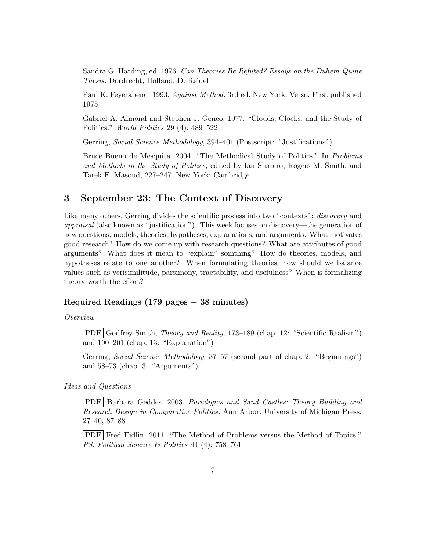Sandra G. Harding, ed. 1976. Can Theories Be Refuted? Essays on the Duhem-Quine Thesis. Dordrecht, Holland: D. Reidel

Paul K. Feyerabend. 1993. Against Method. 3rd ed. New York: Verso. First published 1975

Gabriel A. Almond and Stephen J. Genco. 1977. "Clouds, Clocks, and the Study of Politics." World Politics 29 (4): 489–522

Gerring, Social Science Methodology, 394–401 (Postscript: "Justifications")

Bruce Bueno de Mesquita. 2004. "The Methodical Study of Politics." In Problems and Methods in the Study of Politics, edited by Ian Shapiro, Rogers M. Smith, and Tarek E. Masoud, 227–247. New York: Cambridge

# <span id="page-6-0"></span>3 September 23: The Context of Discovery

Like many others, Gerring divides the scientific process into two "contexts": *discovery* and appraisal (also known as "justification"). This week focuses on discovery—the generation of new questions, models, theories, hypotheses, explanations, and arguments. What motivates good research? How do we come up with research questions? What are attributes of good arguments? What does it mean to "explain" somthing? How do theories, models, and hypotheses relate to one another? When formulating theories, how should we balance values such as verisimilitude, parsimony, tractability, and usefulness? When is formalizing theory worth the effort?

# Required Readings  $(179 \text{ pages} + 38 \text{ minutes})$

Overview

PDF Godfrey-Smith, Theory and Reality, 173–189 (chap. 12: "Scientific Realism") and 190–201 (chap. 13: "Explanation")

Gerring, Social Science Methodology, 37–57 (second part of chap. 2: "Beginnings") and 58–73 (chap. 3: "Arguments")

Ideas and Questions

PDF Barbara Geddes. 2003. Paradigms and Sand Castles: Theory Building and Research Design in Comparative Politics. Ann Arbor: University of Michigan Press, 27–40, 87–88

PDF Fred Eidlin. 2011. "The Method of Problems versus the Method of Topics." PS: Political Science & Politics 44 (4): 758–761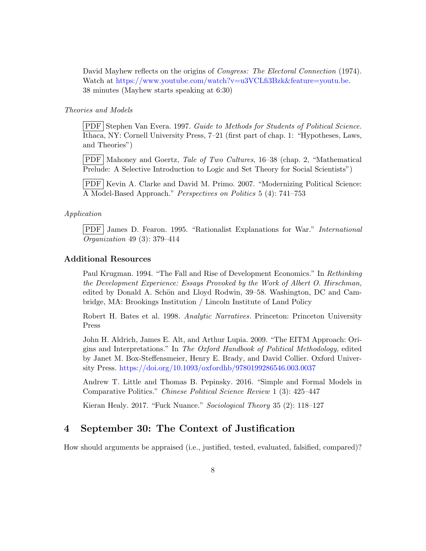David Mayhew reflects on the origins of *Congress: The Electoral Connection* (1974). Watch at [https://www.youtube.com/watch?v=u3VCLfi3Bzk&feature=youtu.be.](https://www.youtube.com/watch?v=u3VCLfi3Bzk&feature=youtu.be) 38 minutes (Mayhew starts speaking at 6:30)

### Theories and Models

PDF Stephen Van Evera. 1997. Guide to Methods for Students of Political Science. Ithaca, NY: Cornell University Press, 7–21 (first part of chap. 1: "Hypotheses, Laws, and Theories")

PDF Mahoney and Goertz, Tale of Two Cultures, 16–38 (chap. 2, "Mathematical Prelude: A Selective Introduction to Logic and Set Theory for Social Scientists")

PDF Kevin A. Clarke and David M. Primo. 2007. "Modernizing Political Science: A Model-Based Approach." Perspectives on Politics 5 (4): 741–753

## Application

PDF James D. Fearon. 1995. "Rationalist Explanations for War." International Organization 49 (3): 379–414

### Additional Resources

Paul Krugman. 1994. "The Fall and Rise of Development Economics." In Rethinking the Development Experience: Essays Provoked by the Work of Albert O. Hirschman, edited by Donald A. Schön and Lloyd Rodwin, 39–58. Washington, DC and Cambridge, MA: Brookings Institution / Lincoln Institute of Land Policy

Robert H. Bates et al. 1998. Analytic Narratives. Princeton: Princeton University Press

John H. Aldrich, James E. Alt, and Arthur Lupia. 2009. "The EITM Approach: Origins and Interpretations." In The Oxford Handbook of Political Methodology, edited by Janet M. Box-Steffensmeier, Henry E. Brady, and David Collier. Oxford University Press. <https://doi.org/10.1093/oxfordhb/9780199286546.003.0037>

Andrew T. Little and Thomas B. Pepinsky. 2016. "Simple and Formal Models in Comparative Politics." Chinese Political Science Review 1 (3): 425–447

Kieran Healy. 2017. "Fuck Nuance." Sociological Theory 35 (2): 118–127

# <span id="page-7-0"></span>4 September 30: The Context of Justification

How should arguments be appraised (i.e., justified, tested, evaluated, falsified, compared)?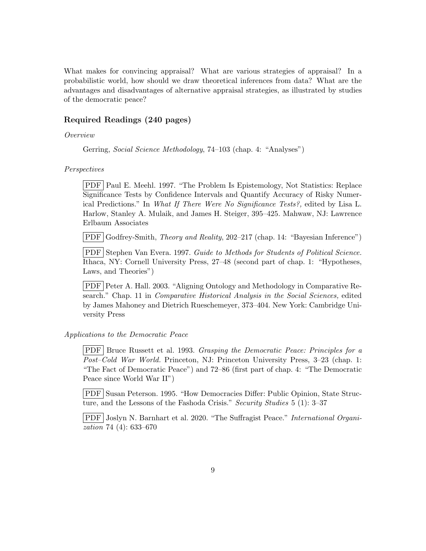What makes for convincing appraisal? What are various strategies of appraisal? In a probabilistic world, how should we draw theoretical inferences from data? What are the advantages and disadvantages of alternative appraisal strategies, as illustrated by studies of the democratic peace?

## Required Readings (240 pages)

## Overview

Gerring, Social Science Methodology, 74–103 (chap. 4: "Analyses")

#### Perspectives

PDF Paul E. Meehl. 1997. "The Problem Is Epistemology, Not Statistics: Replace Significance Tests by Confidence Intervals and Quantify Accuracy of Risky Numerical Predictions." In What If There Were No Significance Tests?, edited by Lisa L. Harlow, Stanley A. Mulaik, and James H. Steiger, 395–425. Mahwaw, NJ: Lawrence Erlbaum Associates

PDF Godfrey-Smith, *Theory and Reality*, 202–217 (chap. 14: "Bayesian Inference")

PDF Stephen Van Evera. 1997. Guide to Methods for Students of Political Science. Ithaca, NY: Cornell University Press, 27–48 (second part of chap. 1: "Hypotheses, Laws, and Theories")

PDF Peter A. Hall. 2003. "Aligning Ontology and Methodology in Comparative Research." Chap. 11 in Comparative Historical Analysis in the Social Sciences, edited by James Mahoney and Dietrich Rueschemeyer, 373–404. New York: Cambridge University Press

# Applications to the Democratic Peace

PDF Bruce Russett et al. 1993. Grasping the Democratic Peace: Principles for a Post–Cold War World. Princeton, NJ: Princeton University Press, 3–23 (chap. 1: "The Fact of Democratic Peace") and 72–86 (first part of chap. 4: "The Democratic Peace since World War II")

PDF Susan Peterson. 1995. "How Democracies Differ: Public Opinion, State Structure, and the Lessons of the Fashoda Crisis." Security Studies 5 (1): 3–37

PDF Joslyn N. Barnhart et al. 2020. "The Suffragist Peace." International Organization 74 (4): 633–670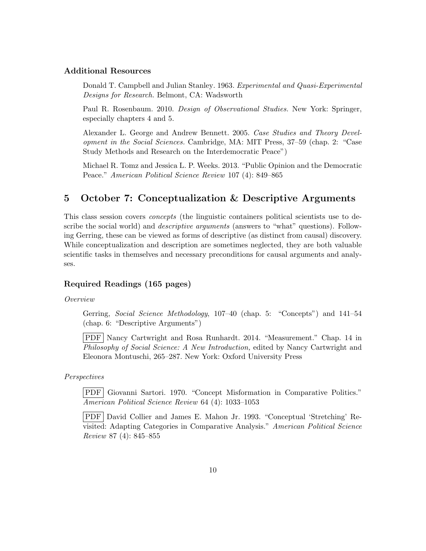## Additional Resources

Donald T. Campbell and Julian Stanley. 1963. Experimental and Quasi-Experimental Designs for Research. Belmont, CA: Wadsworth

Paul R. Rosenbaum. 2010. Design of Observational Studies. New York: Springer, especially chapters 4 and 5.

Alexander L. George and Andrew Bennett. 2005. Case Studies and Theory Development in the Social Sciences. Cambridge, MA: MIT Press, 37–59 (chap. 2: "Case Study Methods and Research on the Interdemocratic Peace")

Michael R. Tomz and Jessica L. P. Weeks. 2013. "Public Opinion and the Democratic Peace." American Political Science Review 107 (4): 849–865

# <span id="page-9-0"></span>5 October 7: Conceptualization & Descriptive Arguments

This class session covers concepts (the linguistic containers political scientists use to describe the social world) and *descriptive arguments* (answers to "what" questions). Following Gerring, these can be viewed as forms of descriptive (as distinct from causal) discovery. While conceptualization and description are sometimes neglected, they are both valuable scientific tasks in themselves and necessary preconditions for causal arguments and analyses.

# Required Readings (165 pages)

Overview

Gerring, Social Science Methodology, 107-40 (chap. 5: "Concepts") and 141-54 (chap. 6: "Descriptive Arguments")

PDF Nancy Cartwright and Rosa Runhardt. 2014. "Measurement." Chap. 14 in Philosophy of Social Science: A New Introduction, edited by Nancy Cartwright and Eleonora Montuschi, 265–287. New York: Oxford University Press

Perspectives

PDF Giovanni Sartori. 1970. "Concept Misformation in Comparative Politics." American Political Science Review 64 (4): 1033–1053

PDF David Collier and James E. Mahon Jr. 1993. "Conceptual 'Stretching' Revisited: Adapting Categories in Comparative Analysis." American Political Science Review 87 (4): 845–855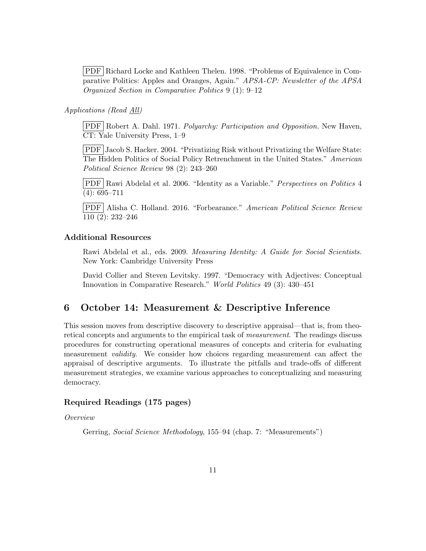PDF Richard Locke and Kathleen Thelen. 1998. "Problems of Equivalence in Comparative Politics: Apples and Oranges, Again." APSA-CP: Newsletter of the APSA Organized Section in Comparative Politics 9 (1): 9–12

### Applications (Read All)

PDF Robert A. Dahl. 1971. Polyarchy: Participation and Opposition. New Haven, CT: Yale University Press, 1–9

PDF Jacob S. Hacker. 2004. "Privatizing Risk without Privatizing the Welfare State: The Hidden Politics of Social Policy Retrenchment in the United States." American Political Science Review 98 (2): 243–260

PDF Rawi Abdelal et al. 2006. "Identity as a Variable." Perspectives on Politics 4 (4): 695–711

PDF Alisha C. Holland. 2016. "Forbearance." American Political Science Review 110 (2): 232–246

# Additional Resources

Rawi Abdelal et al., eds. 2009. Measuring Identity: A Guide for Social Scientists. New York: Cambridge University Press

David Collier and Steven Levitsky. 1997. "Democracy with Adjectives: Conceptual Innovation in Comparative Research." World Politics 49 (3): 430–451

# <span id="page-10-0"></span>6 October 14: Measurement & Descriptive Inference

This session moves from descriptive discovery to descriptive appraisal—that is, from theoretical concepts and arguments to the empirical task of measurement. The readings discuss procedures for constructing operational measures of concepts and criteria for evaluating measurement validity. We consider how choices regarding measurement can affect the appraisal of descriptive arguments. To illustrate the pitfalls and trade-offs of different measurement strategies, we examine various approaches to conceptualizing and measuring democracy.

# Required Readings (175 pages)

Overview

Gerring, Social Science Methodology, 155–94 (chap. 7: "Measurements")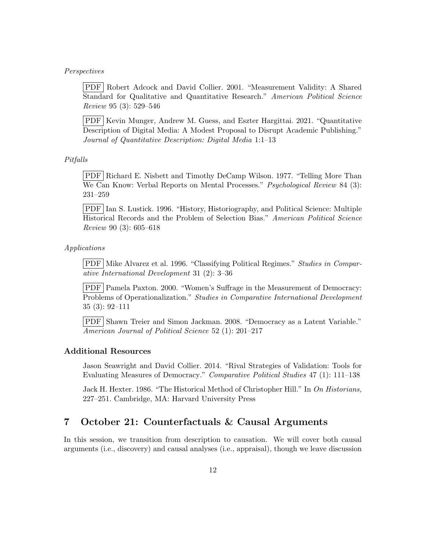#### Perspectives

PDF Robert Adcock and David Collier. 2001. "Measurement Validity: A Shared Standard for Qualitative and Quantitative Research." American Political Science Review 95 (3): 529–546

PDF Kevin Munger, Andrew M. Guess, and Eszter Hargittai. 2021. "Quantitative Description of Digital Media: A Modest Proposal to Disrupt Academic Publishing." Journal of Quantitative Description: Digital Media 1:1–13

## Pitfalls

PDF Richard E. Nisbett and Timothy DeCamp Wilson. 1977. "Telling More Than We Can Know: Verbal Reports on Mental Processes." *Psychological Review* 84 (3): 231–259

PDF Ian S. Lustick. 1996. "History, Historiography, and Political Science: Multiple Historical Records and the Problem of Selection Bias." American Political Science Review 90 (3): 605–618

#### Applications

PDF Mike Alvarez et al. 1996. "Classifying Political Regimes." Studies in Comparative International Development 31 (2): 3–36

PDF Pamela Paxton. 2000. "Women's Suffrage in the Measurement of Democracy: Problems of Operationalization." Studies in Comparative International Development 35 (3): 92–111

PDF Shawn Treier and Simon Jackman. 2008. "Democracy as a Latent Variable." American Journal of Political Science 52 (1): 201–217

### Additional Resources

Jason Seawright and David Collier. 2014. "Rival Strategies of Validation: Tools for Evaluating Measures of Democracy." Comparative Political Studies 47 (1): 111–138

Jack H. Hexter. 1986. "The Historical Method of Christopher Hill." In On Historians, 227–251. Cambridge, MA: Harvard University Press

# <span id="page-11-0"></span>7 October 21: Counterfactuals & Causal Arguments

In this session, we transition from description to causation. We will cover both causal arguments (i.e., discovery) and causal analyses (i.e., appraisal), though we leave discussion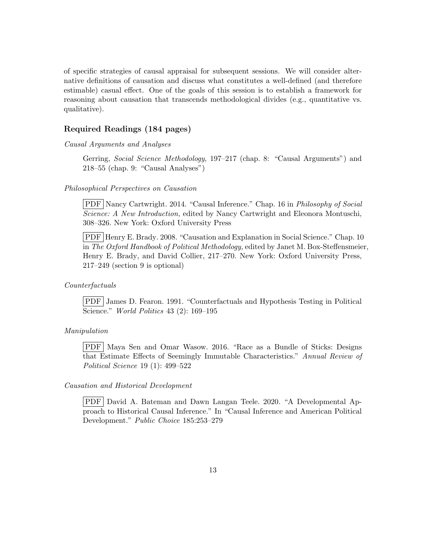of specific strategies of causal appraisal for subsequent sessions. We will consider alternative definitions of causation and discuss what constitutes a well-defined (and therefore estimable) casual effect. One of the goals of this session is to establish a framework for reasoning about causation that transcends methodological divides (e.g., quantitative vs. qualitative).

# Required Readings (184 pages)

Causal Arguments and Analyses

Gerring, Social Science Methodology, 197–217 (chap. 8: "Causal Arguments") and 218–55 (chap. 9: "Causal Analyses")

## Philosophical Perspectives on Causation

PDF Nancy Cartwright. 2014. "Causal Inference." Chap. 16 in Philosophy of Social Science: A New Introduction, edited by Nancy Cartwright and Eleonora Montuschi, 308–326. New York: Oxford University Press

PDF Henry E. Brady. 2008. "Causation and Explanation in Social Science." Chap. 10 in The Oxford Handbook of Political Methodology, edited by Janet M. Box-Steffensmeier, Henry E. Brady, and David Collier, 217–270. New York: Oxford University Press, 217–249 (section 9 is optional)

#### Counterfactuals

PDF James D. Fearon. 1991. "Counterfactuals and Hypothesis Testing in Political Science." World Politics 43 (2): 169–195

## Manipulation

PDF Maya Sen and Omar Wasow. 2016. "Race as a Bundle of Sticks: Designs that Estimate Effects of Seemingly Immutable Characteristics." Annual Review of Political Science 19 (1): 499–522

### Causation and Historical Development

PDF David A. Bateman and Dawn Langan Teele. 2020. "A Developmental Approach to Historical Causal Inference." In "Causal Inference and American Political Development." Public Choice 185:253–279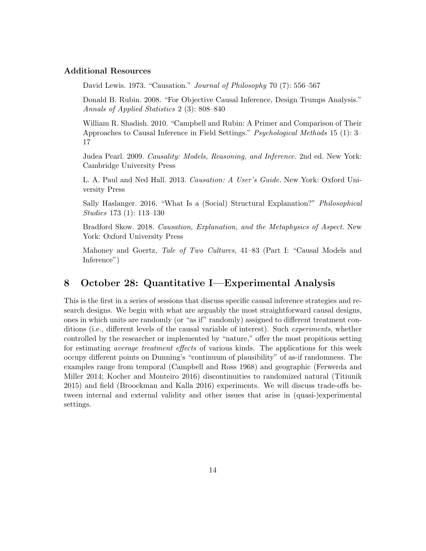## Additional Resources

David Lewis. 1973. "Causation." *Journal of Philosophy* 70 (7): 556–567

Donald B. Rubin. 2008. "For Objective Causal Inference, Design Trumps Analysis." Annals of Applied Statistics 2 (3): 808–840

William R. Shadish. 2010. "Campbell and Rubin: A Primer and Comparison of Their Approaches to Causal Inference in Field Settings." Psychological Methods 15 (1): 3– 17

Judea Pearl. 2009. Causality: Models, Reasoning, and Inference. 2nd ed. New York: Cambridge University Press

L. A. Paul and Ned Hall. 2013. Causation: A User's Guide. New York: Oxford University Press

Sally Haslanger. 2016. "What Is a (Social) Structural Explanation?" Philosophical Studies 173 (1): 113–130

Bradford Skow. 2018. Causation, Explanation, and the Metaphysics of Aspect. New York: Oxford University Press

Mahoney and Goertz, Tale of Two Cultures, 41–83 (Part I: "Causal Models and Inference")

# <span id="page-13-0"></span>8 October 28: Quantitative I—Experimental Analysis

This is the first in a series of sessions that discuss specific causal inference strategies and research designs. We begin with what are arguably the most straightforward causal designs, ones in which units are randomly (or "as if" randomly) assigned to different treatment conditions (i.e., different levels of the causal variable of interest). Such experiments, whether controlled by the researcher or implemented by "nature," offer the most propitious setting for estimating average treatment effects of various kinds. The applications for this week occupy different points on Dunning's "continuum of plausibility" of as-if randomness. The examples range from temporal (Campbell and Ross [1968\)](#page-26-0) and geographic (Ferwerda and Miller [2014;](#page-28-0) Kocher and Monteiro [2016\)](#page-30-0) discontinuities to randomized natural (Titiunik [2015\)](#page-34-0) and field (Broockman and Kalla [2016\)](#page-26-1) experiments. We will discuss trade-offs between internal and external validity and other issues that arise in (quasi-)experimental settings.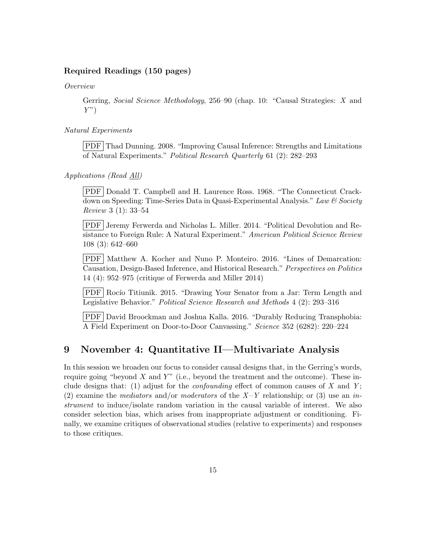# Required Readings (150 pages)

Overview

Gerring, Social Science Methodology, 256–90 (chap. 10: "Causal Strategies: X and  $Y$ ")

Natural Experiments

PDF Thad Dunning. 2008. "Improving Causal Inference: Strengths and Limitations of Natural Experiments." Political Research Quarterly 61 (2): 282–293

Applications (Read All)

PDF Donald T. Campbell and H. Laurence Ross. 1968. "The Connecticut Crackdown on Speeding: Time-Series Data in Quasi-Experimental Analysis." Law & Society Review 3 (1): 33–54

PDF Jeremy Ferwerda and Nicholas L. Miller. 2014. "Political Devolution and Resistance to Foreign Rule: A Natural Experiment." American Political Science Review 108 (3): 642–660

PDF Matthew A. Kocher and Nuno P. Monteiro. 2016. "Lines of Demarcation: Causation, Design-Based Inference, and Historical Research." Perspectives on Politics 14 (4): 952–975 (critique of Ferwerda and Miller [2014\)](#page-28-0)

PDF Rocío Titiunik. 2015. "Drawing Your Senator from a Jar: Term Length and Legislative Behavior." Political Science Research and Methods 4 (2): 293–316

PDF David Broockman and Joshua Kalla. 2016. "Durably Reducing Transphobia: A Field Experiment on Door-to-Door Canvassing." Science 352 (6282): 220–224

# <span id="page-14-0"></span>9 November 4: Quantitative II—Multivariate Analysis

In this session we broaden our focus to consider causal designs that, in the Gerring's words, require going "beyond  $X$  and  $Y$ " (i.e., beyond the treatment and the outcome). These include designs that: (1) adjust for the *confounding* effect of common causes of X and Y; (2) examine the mediators and/or moderators of the  $X-Y$  relationship; or (3) use an instrument to induce/isolate random variation in the causal variable of interest. We also consider selection bias, which arises from inappropriate adjustment or conditioning. Finally, we examine critiques of observational studies (relative to experiments) and responses to those critiques.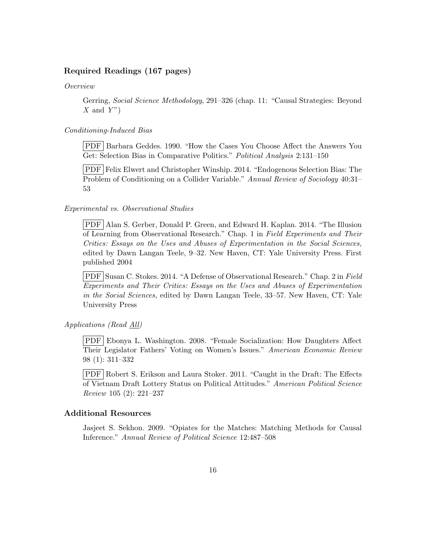# Required Readings (167 pages)

Overview

Gerring, Social Science Methodology, 291–326 (chap. 11: "Causal Strategies: Beyond  $X$  and  $Y$ ")

#### Conditioning-Induced Bias

PDF Barbara Geddes. 1990. "How the Cases You Choose Affect the Answers You Get: Selection Bias in Comparative Politics." Political Analysis 2:131–150

PDF Felix Elwert and Christopher Winship. 2014. "Endogenous Selection Bias: The Problem of Conditioning on a Collider Variable." Annual Review of Sociology 40:31– 53

#### Experimental vs. Observational Studies

PDF Alan S. Gerber, Donald P. Green, and Edward H. Kaplan. 2014. "The Illusion of Learning from Observational Research." Chap. 1 in Field Experiments and Their Critics: Essays on the Uses and Abuses of Experimentation in the Social Sciences, edited by Dawn Langan Teele, 9–32. New Haven, CT: Yale University Press. First published 2004

PDF Susan C. Stokes. 2014. "A Defense of Observational Research." Chap. 2 in Field Experiments and Their Critics: Essays on the Uses and Abuses of Experimentation in the Social Sciences, edited by Dawn Langan Teele, 33–57. New Haven, CT: Yale University Press

Applications (Read All)

PDF Ebonya L. Washington. 2008. "Female Socialization: How Daughters Affect Their Legislator Fathers' Voting on Women's Issues." American Economic Review 98 (1): 311–332

PDF Robert S. Erikson and Laura Stoker. 2011. "Caught in the Draft: The Effects of Vietnam Draft Lottery Status on Political Attitudes." American Political Science Review 105 (2): 221–237

# Additional Resources

Jasjeet S. Sekhon. 2009. "Opiates for the Matches: Matching Methods for Causal Inference." Annual Review of Political Science 12:487–508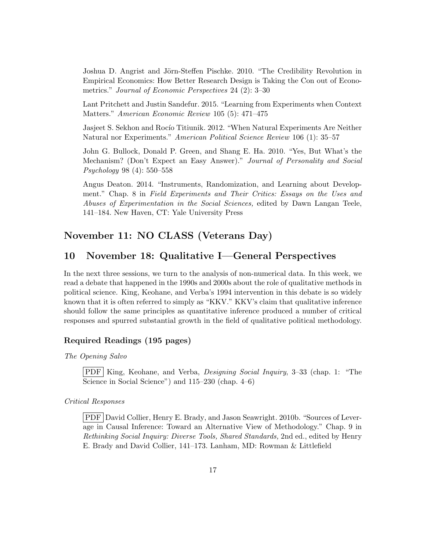Joshua D. Angrist and Jörn-Steffen Pischke. 2010. "The Credibility Revolution in Empirical Economics: How Better Research Design is Taking the Con out of Econometrics." Journal of Economic Perspectives 24 (2): 3–30

Lant Pritchett and Justin Sandefur. 2015. "Learning from Experiments when Context Matters." American Economic Review 105 (5): 471–475

Jasjeet S. Sekhon and Rocio Titiunik. 2012. "When Natural Experiments Are Neither Natural nor Experiments." American Political Science Review 106 (1): 35–57

John G. Bullock, Donald P. Green, and Shang E. Ha. 2010. "Yes, But What's the Mechanism? (Don't Expect an Easy Answer)." Journal of Personality and Social Psychology 98 (4): 550–558

Angus Deaton. 2014. "Instruments, Randomization, and Learning about Development." Chap. 8 in Field Experiments and Their Critics: Essays on the Uses and Abuses of Experimentation in the Social Sciences, edited by Dawn Langan Teele, 141–184. New Haven, CT: Yale University Press

# November 11: NO CLASS (Veterans Day)

# <span id="page-16-0"></span>10 November 18: Qualitative I—General Perspectives

In the next three sessions, we turn to the analysis of non-numerical data. In this week, we read a debate that happened in the 1990s and 2000s about the role of qualitative methods in political science. King, Keohane, and Verba's 1994 intervention in this debate is so widely known that it is often referred to simply as "KKV." KKV's claim that qualitative inference should follow the same principles as quantitative inference produced a number of critical responses and spurred substantial growth in the field of qualitative political methodology.

## Required Readings (195 pages)

The Opening Salvo

PDF King, Keohane, and Verba, Designing Social Inquiry, 3–33 (chap. 1: "The Science in Social Science") and 115–230 (chap. 4–6)

#### Critical Responses

PDF David Collier, Henry E. Brady, and Jason Seawright. 2010b. "Sources of Leverage in Causal Inference: Toward an Alternative View of Methodology." Chap. 9 in Rethinking Social Inquiry: Diverse Tools, Shared Standards, 2nd ed., edited by Henry E. Brady and David Collier, 141–173. Lanham, MD: Rowman & Littlefield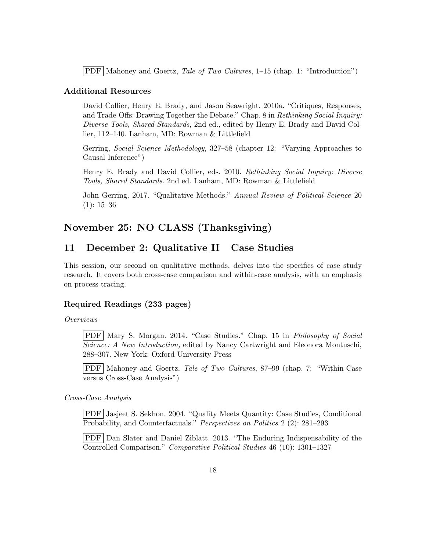$\text{PDF}$  Mahoney and Goertz, Tale of Two Cultures, 1–15 (chap. 1: "Introduction")

## Additional Resources

David Collier, Henry E. Brady, and Jason Seawright. 2010a. "Critiques, Responses, and Trade-Offs: Drawing Together the Debate." Chap. 8 in Rethinking Social Inquiry: Diverse Tools, Shared Standards, 2nd ed., edited by Henry E. Brady and David Collier, 112–140. Lanham, MD: Rowman & Littlefield

Gerring, Social Science Methodology, 327–58 (chapter 12: "Varying Approaches to Causal Inference")

Henry E. Brady and David Collier, eds. 2010. Rethinking Social Inquiry: Diverse Tools, Shared Standards. 2nd ed. Lanham, MD: Rowman & Littlefield

John Gerring. 2017. "Qualitative Methods." Annual Review of Political Science 20  $(1): 15-36$ 

# November 25: NO CLASS (Thanksgiving)

# <span id="page-17-0"></span>11 December 2: Qualitative II—Case Studies

This session, our second on qualitative methods, delves into the specifics of case study research. It covers both cross-case comparison and within-case analysis, with an emphasis on process tracing.

# Required Readings (233 pages)

#### Overviews

PDF Mary S. Morgan. 2014. "Case Studies." Chap. 15 in Philosophy of Social Science: A New Introduction, edited by Nancy Cartwright and Eleonora Montuschi, 288–307. New York: Oxford University Press

PDF Mahoney and Goertz, Tale of Two Cultures, 87–99 (chap. 7: "Within-Case versus Cross-Case Analysis")

#### Cross-Case Analysis

PDF Jasjeet S. Sekhon. 2004. "Quality Meets Quantity: Case Studies, Conditional Probability, and Counterfactuals." Perspectives on Politics 2 (2): 281–293

PDF Dan Slater and Daniel Ziblatt. 2013. "The Enduring Indispensability of the Controlled Comparison." Comparative Political Studies 46 (10): 1301–1327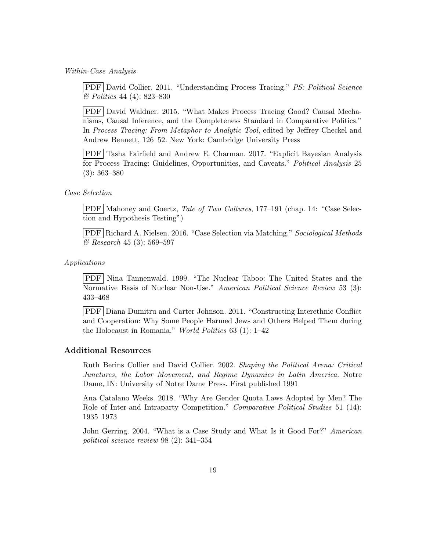Within-Case Analysis

PDF David Collier. 2011. "Understanding Process Tracing." PS: Political Science & Politics 44 (4): 823–830

PDF David Waldner. 2015. "What Makes Process Tracing Good? Causal Mechanisms, Causal Inference, and the Completeness Standard in Comparative Politics." In Process Tracing: From Metaphor to Analytic Tool, edited by Jeffrey Checkel and Andrew Bennett, 126–52. New York: Cambridge University Press

PDF Tasha Fairfield and Andrew E. Charman. 2017. "Explicit Bayesian Analysis for Process Tracing: Guidelines, Opportunities, and Caveats." Political Analysis 25 (3): 363–380

#### Case Selection

PDF Mahoney and Goertz, Tale of Two Cultures, 177–191 (chap. 14: "Case Selection and Hypothesis Testing")

PDF Richard A. Nielsen. 2016. "Case Selection via Matching." Sociological Methods & Research 45 (3): 569–597

#### Applications

PDF Nina Tannenwald. 1999. "The Nuclear Taboo: The United States and the Normative Basis of Nuclear Non-Use." American Political Science Review 53 (3): 433–468

PDF Diana Dumitru and Carter Johnson. 2011. "Constructing Interethnic Conflict and Cooperation: Why Some People Harmed Jews and Others Helped Them during the Holocaust in Romania." World Politics  $63$  (1):  $1-42$ 

# Additional Resources

Ruth Berins Collier and David Collier. 2002. Shaping the Political Arena: Critical Junctures, the Labor Movement, and Regime Dynamics in Latin America. Notre Dame, IN: University of Notre Dame Press. First published 1991

Ana Catalano Weeks. 2018. "Why Are Gender Quota Laws Adopted by Men? The Role of Inter-and Intraparty Competition." Comparative Political Studies 51 (14): 1935–1973

John Gerring. 2004. "What is a Case Study and What Is it Good For?" American political science review 98 (2): 341–354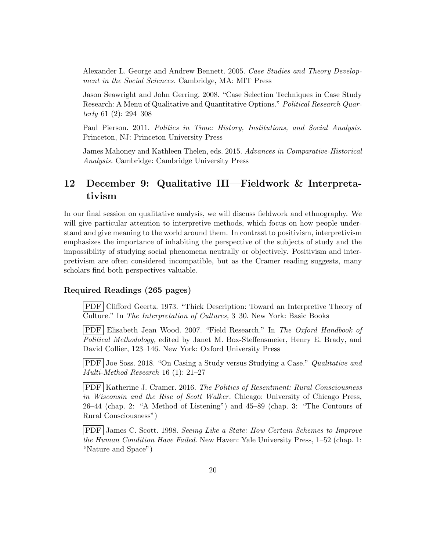Alexander L. George and Andrew Bennett. 2005. Case Studies and Theory Development in the Social Sciences. Cambridge, MA: MIT Press

Jason Seawright and John Gerring. 2008. "Case Selection Techniques in Case Study Research: A Menu of Qualitative and Quantitative Options." Political Research Quarterly 61 (2): 294–308

Paul Pierson. 2011. Politics in Time: History, Institutions, and Social Analysis. Princeton, NJ: Princeton University Press

James Mahoney and Kathleen Thelen, eds. 2015. Advances in Comparative-Historical Analysis. Cambridge: Cambridge University Press

# <span id="page-19-0"></span>12 December 9: Qualitative III—Fieldwork & Interpretativism

In our final session on qualitative analysis, we will discuss fieldwork and ethnography. We will give particular attention to interpretive methods, which focus on how people understand and give meaning to the world around them. In contrast to positivism, interpretivism emphasizes the importance of inhabiting the perspective of the subjects of study and the impossibility of studying social phenomena neutrally or objectively. Positivism and interpretivism are often considered incompatible, but as the Cramer reading suggests, many scholars find both perspectives valuable.

# Required Readings (265 pages)

PDF Clifford Geertz. 1973. "Thick Description: Toward an Interpretive Theory of Culture." In The Interpretation of Cultures, 3–30. New York: Basic Books

PDF Elisabeth Jean Wood. 2007. "Field Research." In The Oxford Handbook of Political Methodology, edited by Janet M. Box-Steffensmeier, Henry E. Brady, and David Collier, 123–146. New York: Oxford University Press

PDF Joe Soss. 2018. "On Casing a Study versus Studying a Case." Qualitative and Multi-Method Research 16 (1): 21–27

PDF Katherine J. Cramer. 2016. The Politics of Resentment: Rural Consciousness in Wisconsin and the Rise of Scott Walker. Chicago: University of Chicago Press, 26–44 (chap. 2: "A Method of Listening") and 45–89 (chap. 3: "The Contours of Rural Consciousness")

PDF James C. Scott. 1998. Seeing Like a State: How Certain Schemes to Improve the Human Condition Have Failed. New Haven: Yale University Press, 1–52 (chap. 1: "Nature and Space")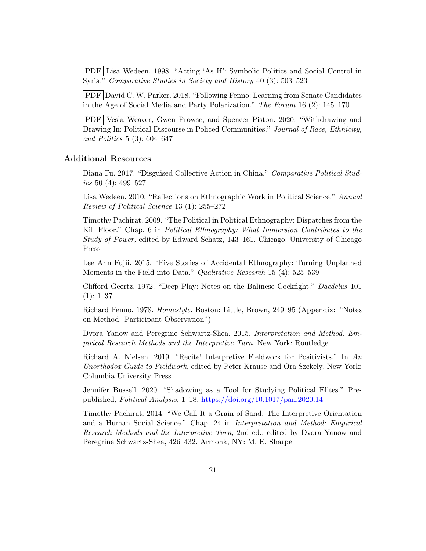PDF Lisa Wedeen. 1998. "Acting 'As If': Symbolic Politics and Social Control in Syria." Comparative Studies in Society and History 40 (3): 503–523

PDF David C. W. Parker. 2018. "Following Fenno: Learning from Senate Candidates in the Age of Social Media and Party Polarization." The Forum 16 (2): 145–170

PDF Vesla Weaver, Gwen Prowse, and Spencer Piston. 2020. "Withdrawing and Drawing In: Political Discourse in Policed Communities." Journal of Race, Ethnicity, and Politics 5 (3): 604–647

### Additional Resources

Diana Fu. 2017. "Disguised Collective Action in China." Comparative Political Studies 50 (4): 499–527

Lisa Wedeen. 2010. "Reflections on Ethnographic Work in Political Science." Annual Review of Political Science 13 (1): 255–272

Timothy Pachirat. 2009. "The Political in Political Ethnography: Dispatches from the Kill Floor." Chap. 6 in *Political Ethnography: What Immersion Contributes to the* Study of Power, edited by Edward Schatz, 143–161. Chicago: University of Chicago Press

Lee Ann Fujii. 2015. "Five Stories of Accidental Ethnography: Turning Unplanned Moments in the Field into Data." Qualitative Research 15 (4): 525–539

Clifford Geertz. 1972. "Deep Play: Notes on the Balinese Cockfight." Daedelus 101  $(1): 1-37$ 

Richard Fenno. 1978. Homestyle. Boston: Little, Brown, 249–95 (Appendix: "Notes on Method: Participant Observation")

Dvora Yanow and Peregrine Schwartz-Shea. 2015. Interpretation and Method: Empirical Research Methods and the Interpretive Turn. New York: Routledge

Richard A. Nielsen. 2019. "Recite! Interpretive Fieldwork for Positivists." In An Unorthodox Guide to Fieldwork, edited by Peter Krause and Ora Szekely. New York: Columbia University Press

Jennifer Bussell. 2020. "Shadowing as a Tool for Studying Political Elites." Prepublished, Political Analysis, 1–18. <https://doi.org/10.1017/pan.2020.14>

<span id="page-20-0"></span>Timothy Pachirat. 2014. "We Call It a Grain of Sand: The Interpretive Orientation and a Human Social Science." Chap. 24 in Interpretation and Method: Empirical Research Methods and the Interpretive Turn, 2nd ed., edited by Dvora Yanow and Peregrine Schwartz-Shea, 426–432. Armonk, NY: M. E. Sharpe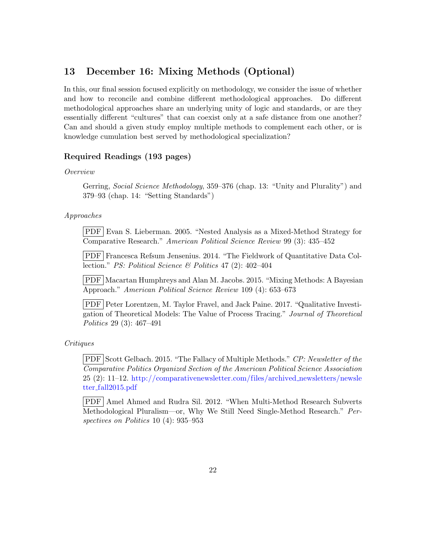# 13 December 16: Mixing Methods (Optional)

In this, our final session focused explicitly on methodology, we consider the issue of whether and how to reconcile and combine different methodological approaches. Do different methodological approaches share an underlying unity of logic and standards, or are they essentially different "cultures" that can coexist only at a safe distance from one another? Can and should a given study employ multiple methods to complement each other, or is knowledge cumulation best served by methodological specialization?

# Required Readings (193 pages)

Overview

Gerring, *Social Science Methodology*, 359–376 (chap. 13: "Unity and Plurality") and 379–93 (chap. 14: "Setting Standards")

Approaches

PDF Evan S. Lieberman. 2005. "Nested Analysis as a Mixed-Method Strategy for Comparative Research." American Political Science Review 99 (3): 435–452

PDF Francesca Refsum Jensenius. 2014. "The Fieldwork of Quantitative Data Collection." PS: Political Science & Politics 47 (2): 402–404

PDF Macartan Humphreys and Alan M. Jacobs. 2015. "Mixing Methods: A Bayesian Approach." American Political Science Review 109 (4): 653–673

PDF Peter Lorentzen, M. Taylor Fravel, and Jack Paine. 2017. "Qualitative Investigation of Theoretical Models: The Value of Process Tracing." Journal of Theoretical Politics 29 (3): 467–491

Critiques

PDF Scott Gelbach. 2015. "The Fallacy of Multiple Methods." CP: Newsletter of the Comparative Politics Organized Section of the American Political Science Association 25 (2): 11–12. [http://comparativenewsletter.com/files/archived](http://comparativenewsletter.com/files/archived_newsletters/newsletter_fall2015.pdf) newsletters/newsle tter [fall2015.pdf](http://comparativenewsletter.com/files/archived_newsletters/newsletter_fall2015.pdf)

PDF Amel Ahmed and Rudra Sil. 2012. "When Multi-Method Research Subverts Methodological Pluralism—or, Why We Still Need Single-Method Research." Perspectives on Politics 10 (4): 935–953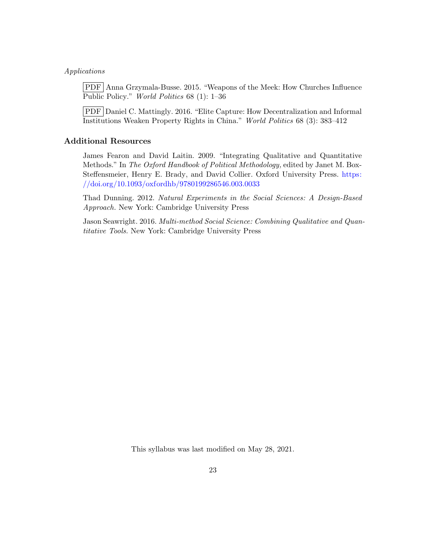#### Applications

PDF Anna Grzymala-Busse. 2015. "Weapons of the Meek: How Churches Influence Public Policy." World Politics 68 (1): 1–36

PDF Daniel C. Mattingly. 2016. "Elite Capture: How Decentralization and Informal Institutions Weaken Property Rights in China." World Politics 68 (3): 383–412

# Additional Resources

James Fearon and David Laitin. 2009. "Integrating Qualitative and Quantitative Methods." In The Oxford Handbook of Political Methodology, edited by Janet M. Box-Steffensmeier, Henry E. Brady, and David Collier. Oxford University Press. [https:](https://doi.org/10.1093/oxfordhb/9780199286546.003.0033) [//doi.org/10.1093/oxfordhb/9780199286546.003.0033](https://doi.org/10.1093/oxfordhb/9780199286546.003.0033)

Thad Dunning. 2012. Natural Experiments in the Social Sciences: A Design-Based Approach. New York: Cambridge University Press

Jason Seawright. 2016. Multi-method Social Science: Combining Qualitative and Quantitative Tools. New York: Cambridge University Press

This syllabus was last modified on May 28, 2021.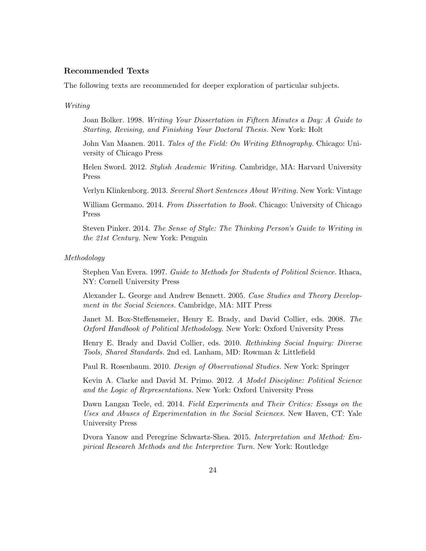### Recommended Texts

The following texts are recommended for deeper exploration of particular subjects.

#### Writing

Joan Bolker. 1998. Writing Your Dissertation in Fifteen Minutes a Day: A Guide to Starting, Revising, and Finishing Your Doctoral Thesis. New York: Holt

John Van Maanen. 2011. Tales of the Field: On Writing Ethnography. Chicago: University of Chicago Press

Helen Sword. 2012. Stylish Academic Writing. Cambridge, MA: Harvard University Press

Verlyn Klinkenborg. 2013. Several Short Sentences About Writing. New York: Vintage

William Germano. 2014. From Dissertation to Book. Chicago: University of Chicago Press

Steven Pinker. 2014. The Sense of Style: The Thinking Person's Guide to Writing in the 21st Century. New York: Penguin

#### Methodology

Stephen Van Evera. 1997. Guide to Methods for Students of Political Science. Ithaca, NY: Cornell University Press

Alexander L. George and Andrew Bennett. 2005. Case Studies and Theory Development in the Social Sciences. Cambridge, MA: MIT Press

Janet M. Box-Steffensmeier, Henry E. Brady, and David Collier, eds. 2008. The Oxford Handbook of Political Methodology. New York: Oxford University Press

Henry E. Brady and David Collier, eds. 2010. Rethinking Social Inquiry: Diverse Tools, Shared Standards. 2nd ed. Lanham, MD: Rowman & Littlefield

Paul R. Rosenbaum. 2010. Design of Observational Studies. New York: Springer

Kevin A. Clarke and David M. Primo. 2012. A Model Discipline: Political Science and the Logic of Representations. New York: Oxford University Press

Dawn Langan Teele, ed. 2014. Field Experiments and Their Critics: Essays on the Uses and Abuses of Experimentation in the Social Sciences. New Haven, CT: Yale University Press

Dvora Yanow and Peregrine Schwartz-Shea. 2015. Interpretation and Method: Empirical Research Methods and the Interpretive Turn. New York: Routledge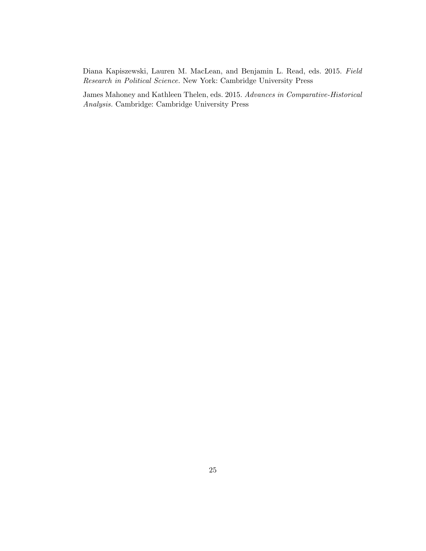Diana Kapiszewski, Lauren M. MacLean, and Benjamin L. Read, eds. 2015. Field Research in Political Science. New York: Cambridge University Press

James Mahoney and Kathleen Thelen, eds. 2015. Advances in Comparative-Historical Analysis. Cambridge: Cambridge University Press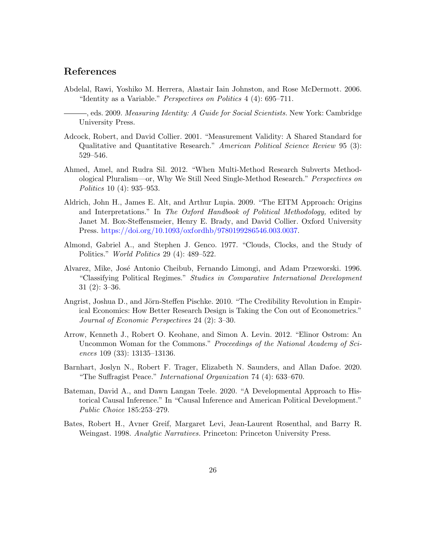# References

- Abdelal, Rawi, Yoshiko M. Herrera, Alastair Iain Johnston, and Rose McDermott. 2006. "Identity as a Variable." Perspectives on Politics 4 (4): 695–711.
	- , eds. 2009. Measuring Identity: A Guide for Social Scientists. New York: Cambridge University Press.
- Adcock, Robert, and David Collier. 2001. "Measurement Validity: A Shared Standard for Qualitative and Quantitative Research." American Political Science Review 95 (3): 529–546.
- Ahmed, Amel, and Rudra Sil. 2012. "When Multi-Method Research Subverts Methodological Pluralism—or, Why We Still Need Single-Method Research." Perspectives on Politics 10 (4): 935–953.
- Aldrich, John H., James E. Alt, and Arthur Lupia. 2009. "The EITM Approach: Origins and Interpretations." In The Oxford Handbook of Political Methodology, edited by Janet M. Box-Steffensmeier, Henry E. Brady, and David Collier. Oxford University Press. [https://doi.org/10.1093/oxfordhb/9780199286546.003.0037.](https://doi.org/10.1093/oxfordhb/9780199286546.003.0037)
- Almond, Gabriel A., and Stephen J. Genco. 1977. "Clouds, Clocks, and the Study of Politics." World Politics 29 (4): 489–522.
- Alvarez, Mike, Jos´e Antonio Cheibub, Fernando Limongi, and Adam Przeworski. 1996. "Classifying Political Regimes." Studies in Comparative International Development 31 (2): 3–36.
- Angrist, Joshua D., and Jörn-Steffen Pischke. 2010. "The Credibility Revolution in Empirical Economics: How Better Research Design is Taking the Con out of Econometrics." Journal of Economic Perspectives 24 (2): 3–30.
- Arrow, Kenneth J., Robert O. Keohane, and Simon A. Levin. 2012. "Elinor Ostrom: An Uncommon Woman for the Commons." Proceedings of the National Academy of Sciences 109 (33): 13135–13136.
- Barnhart, Joslyn N., Robert F. Trager, Elizabeth N. Saunders, and Allan Dafoe. 2020. "The Suffragist Peace." International Organization 74 (4): 633–670.
- Bateman, David A., and Dawn Langan Teele. 2020. "A Developmental Approach to Historical Causal Inference." In "Causal Inference and American Political Development." Public Choice 185:253–279.
- Bates, Robert H., Avner Greif, Margaret Levi, Jean-Laurent Rosenthal, and Barry R. Weingast. 1998. Analytic Narratives. Princeton: Princeton University Press.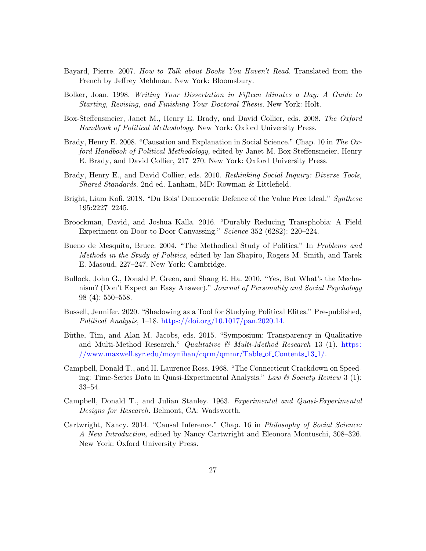- Bayard, Pierre. 2007. How to Talk about Books You Haven't Read. Translated from the French by Jeffrey Mehlman. New York: Bloomsbury.
- Bolker, Joan. 1998. Writing Your Dissertation in Fifteen Minutes a Day: A Guide to Starting, Revising, and Finishing Your Doctoral Thesis. New York: Holt.
- Box-Steffensmeier, Janet M., Henry E. Brady, and David Collier, eds. 2008. The Oxford Handbook of Political Methodology. New York: Oxford University Press.
- Brady, Henry E. 2008. "Causation and Explanation in Social Science." Chap. 10 in The Oxford Handbook of Political Methodology, edited by Janet M. Box-Steffensmeier, Henry E. Brady, and David Collier, 217–270. New York: Oxford University Press.
- Brady, Henry E., and David Collier, eds. 2010. Rethinking Social Inquiry: Diverse Tools, Shared Standards. 2nd ed. Lanham, MD: Rowman & Littlefield.
- Bright, Liam Kofi. 2018. "Du Bois' Democratic Defence of the Value Free Ideal." Synthese 195:2227–2245.
- <span id="page-26-1"></span>Broockman, David, and Joshua Kalla. 2016. "Durably Reducing Transphobia: A Field Experiment on Door-to-Door Canvassing." Science 352 (6282): 220–224.
- Bueno de Mesquita, Bruce. 2004. "The Methodical Study of Politics." In Problems and Methods in the Study of Politics, edited by Ian Shapiro, Rogers M. Smith, and Tarek E. Masoud, 227–247. New York: Cambridge.
- Bullock, John G., Donald P. Green, and Shang E. Ha. 2010. "Yes, But What's the Mechanism? (Don't Expect an Easy Answer)." Journal of Personality and Social Psychology 98 (4): 550–558.
- Bussell, Jennifer. 2020. "Shadowing as a Tool for Studying Political Elites." Pre-published, Political Analysis, 1–18. [https://doi.org/10.1017/pan.2020.14.](https://doi.org/10.1017/pan.2020.14)
- Büthe, Tim, and Alan M. Jacobs, eds. 2015. "Symposium: Transparency in Qualitative and Multi-Method Research." Qualitative  $\mathcal{C}$  Multi-Method Research 13 (1). https: [//www.maxwell.syr.edu/moynihan/cqrm/qmmr/Table](https://www.maxwell.syr.edu/moynihan/cqrm/qmmr/Table_of_Contents_13_1/) of Contents 13 1/.
- <span id="page-26-0"></span>Campbell, Donald T., and H. Laurence Ross. 1968. "The Connecticut Crackdown on Speeding: Time-Series Data in Quasi-Experimental Analysis." Law & Society Review 3 (1): 33–54.
- Campbell, Donald T., and Julian Stanley. 1963. Experimental and Quasi-Experimental Designs for Research. Belmont, CA: Wadsworth.
- Cartwright, Nancy. 2014. "Causal Inference." Chap. 16 in Philosophy of Social Science: A New Introduction, edited by Nancy Cartwright and Eleonora Montuschi, 308–326. New York: Oxford University Press.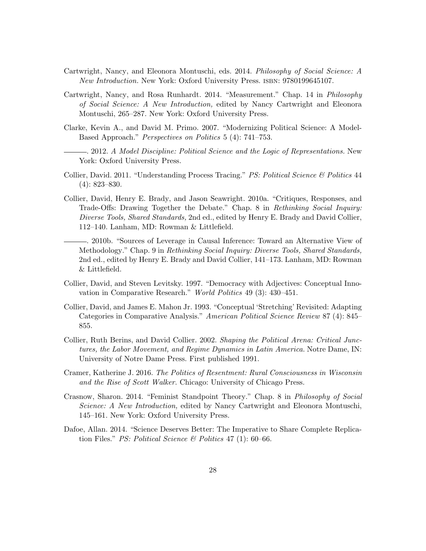- Cartwright, Nancy, and Eleonora Montuschi, eds. 2014. Philosophy of Social Science: A New Introduction. New York: Oxford University Press. isbn: 9780199645107.
- Cartwright, Nancy, and Rosa Runhardt. 2014. "Measurement." Chap. 14 in Philosophy of Social Science: A New Introduction, edited by Nancy Cartwright and Eleonora Montuschi, 265–287. New York: Oxford University Press.
- Clarke, Kevin A., and David M. Primo. 2007. "Modernizing Political Science: A Model-Based Approach." Perspectives on Politics 5 (4): 741–753.
- . 2012. A Model Discipline: Political Science and the Logic of Representations. New York: Oxford University Press.
- Collier, David. 2011. "Understanding Process Tracing." PS: Political Science & Politics 44 (4): 823–830.
- Collier, David, Henry E. Brady, and Jason Seawright. 2010a. "Critiques, Responses, and Trade-Offs: Drawing Together the Debate." Chap. 8 in Rethinking Social Inquiry: Diverse Tools, Shared Standards, 2nd ed., edited by Henry E. Brady and David Collier, 112–140. Lanham, MD: Rowman & Littlefield.
- . 2010b. "Sources of Leverage in Causal Inference: Toward an Alternative View of Methodology." Chap. 9 in Rethinking Social Inquiry: Diverse Tools, Shared Standards, 2nd ed., edited by Henry E. Brady and David Collier, 141–173. Lanham, MD: Rowman & Littlefield.
- Collier, David, and Steven Levitsky. 1997. "Democracy with Adjectives: Conceptual Innovation in Comparative Research." World Politics 49 (3): 430–451.
- Collier, David, and James E. Mahon Jr. 1993. "Conceptual 'Stretching' Revisited: Adapting Categories in Comparative Analysis." American Political Science Review 87 (4): 845– 855.
- Collier, Ruth Berins, and David Collier. 2002. Shaping the Political Arena: Critical Junctures, the Labor Movement, and Regime Dynamics in Latin America. Notre Dame, IN: University of Notre Dame Press. First published 1991.
- Cramer, Katherine J. 2016. The Politics of Resentment: Rural Consciousness in Wisconsin and the Rise of Scott Walker. Chicago: University of Chicago Press.
- Crasnow, Sharon. 2014. "Feminist Standpoint Theory." Chap. 8 in Philosophy of Social Science: A New Introduction, edited by Nancy Cartwright and Eleonora Montuschi, 145–161. New York: Oxford University Press.
- Dafoe, Allan. 2014. "Science Deserves Better: The Imperative to Share Complete Replication Files." *PS: Political Science & Politics* 47 (1): 60–66.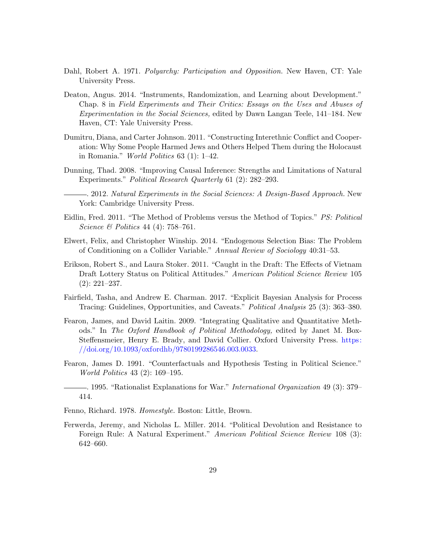- Dahl, Robert A. 1971. *Polyarchy: Participation and Opposition*. New Haven, CT: Yale University Press.
- Deaton, Angus. 2014. "Instruments, Randomization, and Learning about Development." Chap. 8 in Field Experiments and Their Critics: Essays on the Uses and Abuses of Experimentation in the Social Sciences, edited by Dawn Langan Teele, 141–184. New Haven, CT: Yale University Press.
- Dumitru, Diana, and Carter Johnson. 2011. "Constructing Interethnic Conflict and Cooperation: Why Some People Harmed Jews and Others Helped Them during the Holocaust in Romania." World Politics 63 (1): 1–42.
- Dunning, Thad. 2008. "Improving Causal Inference: Strengths and Limitations of Natural Experiments." Political Research Quarterly 61 (2): 282–293.
	- . 2012. Natural Experiments in the Social Sciences: A Design-Based Approach. New York: Cambridge University Press.
- Eidlin, Fred. 2011. "The Method of Problems versus the Method of Topics." PS: Political Science & Politics 44 (4): 758–761.
- Elwert, Felix, and Christopher Winship. 2014. "Endogenous Selection Bias: The Problem of Conditioning on a Collider Variable." Annual Review of Sociology 40:31–53.
- Erikson, Robert S., and Laura Stoker. 2011. "Caught in the Draft: The Effects of Vietnam Draft Lottery Status on Political Attitudes." American Political Science Review 105 (2): 221–237.
- Fairfield, Tasha, and Andrew E. Charman. 2017. "Explicit Bayesian Analysis for Process Tracing: Guidelines, Opportunities, and Caveats." Political Analysis 25 (3): 363–380.
- Fearon, James, and David Laitin. 2009. "Integrating Qualitative and Quantitative Methods." In The Oxford Handbook of Political Methodology, edited by Janet M. Box-Steffensmeier, Henry E. Brady, and David Collier. Oxford University Press. [https:](https://doi.org/10.1093/oxfordhb/9780199286546.003.0033) [//doi.org/10.1093/oxfordhb/9780199286546.003.0033.](https://doi.org/10.1093/oxfordhb/9780199286546.003.0033)
- Fearon, James D. 1991. "Counterfactuals and Hypothesis Testing in Political Science." World Politics 43 (2): 169–195.
- . 1995. "Rationalist Explanations for War." International Organization 49 (3): 379– 414.
- Fenno, Richard. 1978. Homestyle. Boston: Little, Brown.
- <span id="page-28-0"></span>Ferwerda, Jeremy, and Nicholas L. Miller. 2014. "Political Devolution and Resistance to Foreign Rule: A Natural Experiment." American Political Science Review 108 (3): 642–660.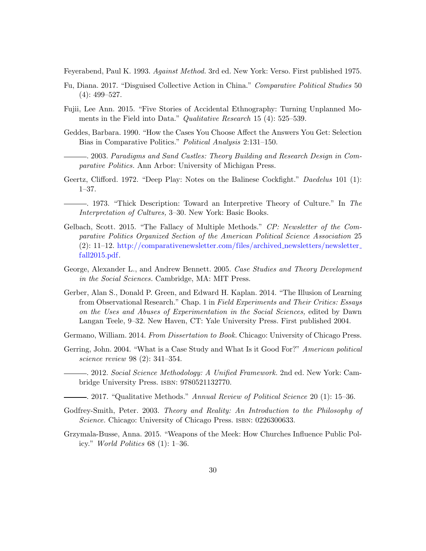Feyerabend, Paul K. 1993. Against Method. 3rd ed. New York: Verso. First published 1975.

- Fu, Diana. 2017. "Disguised Collective Action in China." Comparative Political Studies 50 (4): 499–527.
- Fujii, Lee Ann. 2015. "Five Stories of Accidental Ethnography: Turning Unplanned Moments in the Field into Data." *Qualitative Research* 15 (4): 525–539.
- Geddes, Barbara. 1990. "How the Cases You Choose Affect the Answers You Get: Selection Bias in Comparative Politics." Political Analysis 2:131–150.

. 2003. Paradigms and Sand Castles: Theory Building and Research Design in Comparative Politics. Ann Arbor: University of Michigan Press.

- Geertz, Clifford. 1972. "Deep Play: Notes on the Balinese Cockfight." Daedelus 101 (1): 1–37.
	- . 1973. "Thick Description: Toward an Interpretive Theory of Culture." In The Interpretation of Cultures, 3–30. New York: Basic Books.
- Gelbach, Scott. 2015. "The Fallacy of Multiple Methods." CP: Newsletter of the Comparative Politics Organized Section of the American Political Science Association 25 (2): 11–12. [http://comparativenewsletter.com/files/archived](http://comparativenewsletter.com/files/archived_newsletters/newsletter_fall2015.pdf) newsletters/newsletter [fall2015.pdf.](http://comparativenewsletter.com/files/archived_newsletters/newsletter_fall2015.pdf)
- George, Alexander L., and Andrew Bennett. 2005. Case Studies and Theory Development in the Social Sciences. Cambridge, MA: MIT Press.
- Gerber, Alan S., Donald P. Green, and Edward H. Kaplan. 2014. "The Illusion of Learning from Observational Research." Chap. 1 in Field Experiments and Their Critics: Essays on the Uses and Abuses of Experimentation in the Social Sciences, edited by Dawn Langan Teele, 9–32. New Haven, CT: Yale University Press. First published 2004.
- Germano, William. 2014. From Dissertation to Book. Chicago: University of Chicago Press.
- Gerring, John. 2004. "What is a Case Study and What Is it Good For?" American political science review 98 (2): 341–354.
	- . 2012. Social Science Methodology: A Unified Framework. 2nd ed. New York: Cambridge University Press. isbn: 9780521132770.
	- $-$ . 2017. "Qualitative Methods." Annual Review of Political Science 20 (1): 15–36.
- Godfrey-Smith, Peter. 2003. Theory and Reality: An Introduction to the Philosophy of Science. Chicago: University of Chicago Press. ISBN: 0226300633.
- Grzymala-Busse, Anna. 2015. "Weapons of the Meek: How Churches Influence Public Policy." World Politics 68 (1): 1–36.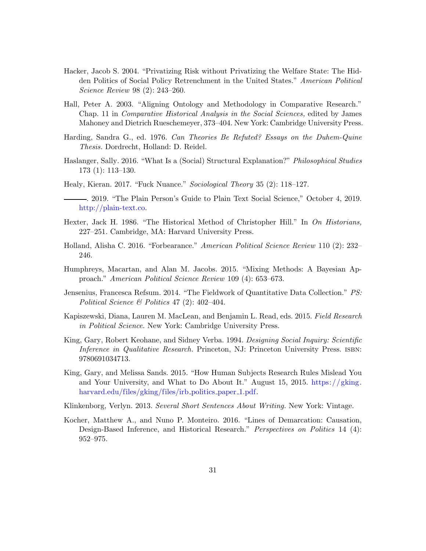- Hacker, Jacob S. 2004. "Privatizing Risk without Privatizing the Welfare State: The Hidden Politics of Social Policy Retrenchment in the United States." American Political Science Review 98 (2): 243–260.
- Hall, Peter A. 2003. "Aligning Ontology and Methodology in Comparative Research." Chap. 11 in Comparative Historical Analysis in the Social Sciences, edited by James Mahoney and Dietrich Rueschemeyer, 373–404. New York: Cambridge University Press.
- Harding, Sandra G., ed. 1976. Can Theories Be Refuted? Essays on the Duhem-Quine Thesis. Dordrecht, Holland: D. Reidel.
- Haslanger, Sally. 2016. "What Is a (Social) Structural Explanation?" Philosophical Studies 173 (1): 113–130.
- Healy, Kieran. 2017. "Fuck Nuance." Sociological Theory 35 (2): 118–127.
- . 2019. "The Plain Person's Guide to Plain Text Social Science," October 4, 2019. [http://plain-text.co.](http://plain-text.co)
- Hexter, Jack H. 1986. "The Historical Method of Christopher Hill." In On Historians, 227–251. Cambridge, MA: Harvard University Press.
- Holland, Alisha C. 2016. "Forbearance." American Political Science Review 110 (2): 232– 246.
- Humphreys, Macartan, and Alan M. Jacobs. 2015. "Mixing Methods: A Bayesian Approach." American Political Science Review 109 (4): 653–673.
- Jensenius, Francesca Refsum. 2014. "The Fieldwork of Quantitative Data Collection." PS: Political Science & Politics 47 (2): 402–404.
- Kapiszewski, Diana, Lauren M. MacLean, and Benjamin L. Read, eds. 2015. Field Research in Political Science. New York: Cambridge University Press.
- King, Gary, Robert Keohane, and Sidney Verba. 1994. Designing Social Inquiry: Scientific Inference in Qualitative Research. Princeton, NJ: Princeton University Press. ISBN: 9780691034713.
- King, Gary, and Melissa Sands. 2015. "How Human Subjects Research Rules Mislead You and Your University, and What to Do About It." August 15, 2015. [https://gking.](https://gking.harvard.edu/files/gking/files/irb_politics_paper_1.pdf) [harvard.edu/files/gking/files/irb](https://gking.harvard.edu/files/gking/files/irb_politics_paper_1.pdf)\_politics\_paper\_1.pdf.
- Klinkenborg, Verlyn. 2013. Several Short Sentences About Writing. New York: Vintage.
- <span id="page-30-0"></span>Kocher, Matthew A., and Nuno P. Monteiro. 2016. "Lines of Demarcation: Causation, Design-Based Inference, and Historical Research." Perspectives on Politics 14 (4): 952–975.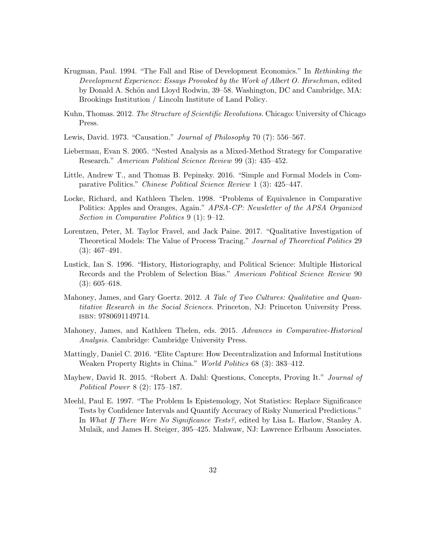- Krugman, Paul. 1994. "The Fall and Rise of Development Economics." In Rethinking the Development Experience: Essays Provoked by the Work of Albert O. Hirschman, edited by Donald A. Schön and Lloyd Rodwin, 39–58. Washington, DC and Cambridge, MA: Brookings Institution / Lincoln Institute of Land Policy.
- Kuhn, Thomas. 2012. The Structure of Scientific Revolutions. Chicago: University of Chicago Press.
- Lewis, David. 1973. "Causation." Journal of Philosophy 70 (7): 556–567.
- Lieberman, Evan S. 2005. "Nested Analysis as a Mixed-Method Strategy for Comparative Research." American Political Science Review 99 (3): 435–452.
- Little, Andrew T., and Thomas B. Pepinsky. 2016. "Simple and Formal Models in Comparative Politics." Chinese Political Science Review 1 (3): 425–447.
- Locke, Richard, and Kathleen Thelen. 1998. "Problems of Equivalence in Comparative Politics: Apples and Oranges, Again." APSA-CP: Newsletter of the APSA Organized Section in Comparative Politics 9 (1): 9–12.
- Lorentzen, Peter, M. Taylor Fravel, and Jack Paine. 2017. "Qualitative Investigation of Theoretical Models: The Value of Process Tracing." Journal of Theoretical Politics 29 (3): 467–491.
- Lustick, Ian S. 1996. "History, Historiography, and Political Science: Multiple Historical Records and the Problem of Selection Bias." American Political Science Review 90 (3): 605–618.
- Mahoney, James, and Gary Goertz. 2012. A Tale of Two Cultures: Qualitative and Quantitative Research in the Social Sciences. Princeton, NJ: Princeton University Press. isbn: 9780691149714.
- Mahoney, James, and Kathleen Thelen, eds. 2015. Advances in Comparative-Historical Analysis. Cambridge: Cambridge University Press.
- Mattingly, Daniel C. 2016. "Elite Capture: How Decentralization and Informal Institutions Weaken Property Rights in China." World Politics 68 (3): 383–412.
- Mayhew, David R. 2015. "Robert A. Dahl: Questions, Concepts, Proving It." Journal of Political Power 8 (2): 175–187.
- Meehl, Paul E. 1997. "The Problem Is Epistemology, Not Statistics: Replace Significance Tests by Confidence Intervals and Quantify Accuracy of Risky Numerical Predictions." In What If There Were No Significance Tests?, edited by Lisa L. Harlow, Stanley A. Mulaik, and James H. Steiger, 395–425. Mahwaw, NJ: Lawrence Erlbaum Associates.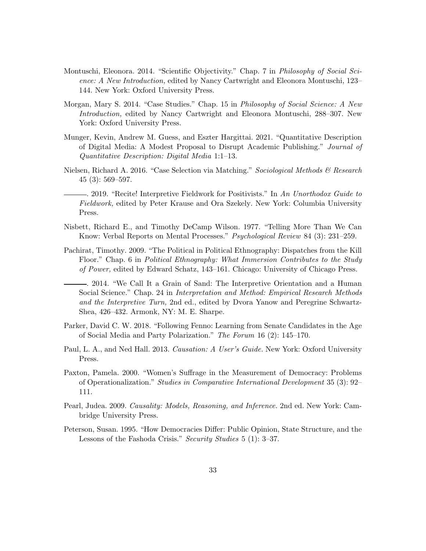- Montuschi, Eleonora. 2014. "Scientific Objectivity." Chap. 7 in Philosophy of Social Science: A New Introduction, edited by Nancy Cartwright and Eleonora Montuschi, 123– 144. New York: Oxford University Press.
- Morgan, Mary S. 2014. "Case Studies." Chap. 15 in Philosophy of Social Science: A New Introduction, edited by Nancy Cartwright and Eleonora Montuschi, 288–307. New York: Oxford University Press.
- Munger, Kevin, Andrew M. Guess, and Eszter Hargittai. 2021. "Quantitative Description of Digital Media: A Modest Proposal to Disrupt Academic Publishing." Journal of Quantitative Description: Digital Media 1:1–13.
- Nielsen, Richard A. 2016. "Case Selection via Matching." Sociological Methods & Research 45 (3): 569–597.
	- . 2019. "Recite! Interpretive Fieldwork for Positivists." In An Unorthodox Guide to Fieldwork, edited by Peter Krause and Ora Szekely. New York: Columbia University Press.
- Nisbett, Richard E., and Timothy DeCamp Wilson. 1977. "Telling More Than We Can Know: Verbal Reports on Mental Processes." Psychological Review 84 (3): 231–259.
- Pachirat, Timothy. 2009. "The Political in Political Ethnography: Dispatches from the Kill Floor." Chap. 6 in *Political Ethnography: What Immersion Contributes to the Study* of Power, edited by Edward Schatz, 143–161. Chicago: University of Chicago Press.
- . 2014. "We Call It a Grain of Sand: The Interpretive Orientation and a Human Social Science." Chap. 24 in Interpretation and Method: Empirical Research Methods and the Interpretive Turn, 2nd ed., edited by Dvora Yanow and Peregrine Schwartz-Shea, 426–432. Armonk, NY: M. E. Sharpe.
- Parker, David C. W. 2018. "Following Fenno: Learning from Senate Candidates in the Age of Social Media and Party Polarization." The Forum 16 (2): 145–170.
- Paul, L. A., and Ned Hall. 2013. Causation: A User's Guide. New York: Oxford University Press.
- Paxton, Pamela. 2000. "Women's Suffrage in the Measurement of Democracy: Problems of Operationalization." Studies in Comparative International Development 35 (3): 92– 111.
- Pearl, Judea. 2009. Causality: Models, Reasoning, and Inference. 2nd ed. New York: Cambridge University Press.
- Peterson, Susan. 1995. "How Democracies Differ: Public Opinion, State Structure, and the Lessons of the Fashoda Crisis." Security Studies 5 (1): 3-37.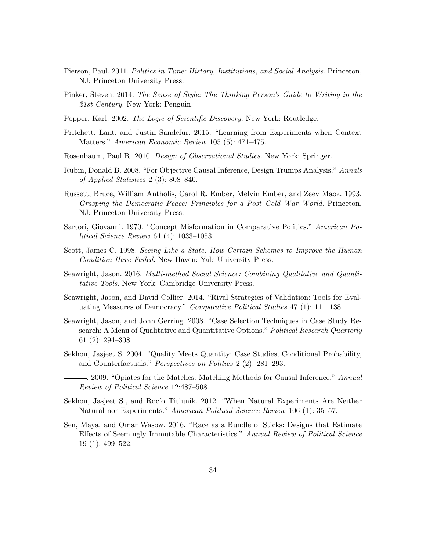- Pierson, Paul. 2011. Politics in Time: History, Institutions, and Social Analysis. Princeton, NJ: Princeton University Press.
- Pinker, Steven. 2014. The Sense of Style: The Thinking Person's Guide to Writing in the 21st Century. New York: Penguin.
- Popper, Karl. 2002. The Logic of Scientific Discovery. New York: Routledge.
- Pritchett, Lant, and Justin Sandefur. 2015. "Learning from Experiments when Context Matters." American Economic Review 105 (5): 471–475.
- Rosenbaum, Paul R. 2010. Design of Observational Studies. New York: Springer.
- Rubin, Donald B. 2008. "For Objective Causal Inference, Design Trumps Analysis." Annals of Applied Statistics 2 (3): 808–840.
- Russett, Bruce, William Antholis, Carol R. Ember, Melvin Ember, and Zeev Maoz. 1993. Grasping the Democratic Peace: Principles for a Post–Cold War World. Princeton, NJ: Princeton University Press.
- Sartori, Giovanni. 1970. "Concept Misformation in Comparative Politics." American Political Science Review 64 (4): 1033–1053.
- Scott, James C. 1998. Seeing Like a State: How Certain Schemes to Improve the Human Condition Have Failed. New Haven: Yale University Press.
- Seawright, Jason. 2016. Multi-method Social Science: Combining Qualitative and Quantitative Tools. New York: Cambridge University Press.
- Seawright, Jason, and David Collier. 2014. "Rival Strategies of Validation: Tools for Evaluating Measures of Democracy." Comparative Political Studies 47 (1): 111–138.
- Seawright, Jason, and John Gerring. 2008. "Case Selection Techniques in Case Study Research: A Menu of Qualitative and Quantitative Options." Political Research Quarterly 61 (2): 294–308.
- Sekhon, Jasjeet S. 2004. "Quality Meets Quantity: Case Studies, Conditional Probability, and Counterfactuals." Perspectives on Politics 2 (2): 281–293.
	- . 2009. "Opiates for the Matches: Matching Methods for Causal Inference." Annual Review of Political Science 12:487–508.
- Sekhon, Jasjeet S., and Rocío Titiunik. 2012. "When Natural Experiments Are Neither Natural nor Experiments." American Political Science Review 106 (1): 35–57.
- Sen, Maya, and Omar Wasow. 2016. "Race as a Bundle of Sticks: Designs that Estimate Effects of Seemingly Immutable Characteristics." Annual Review of Political Science 19 (1): 499–522.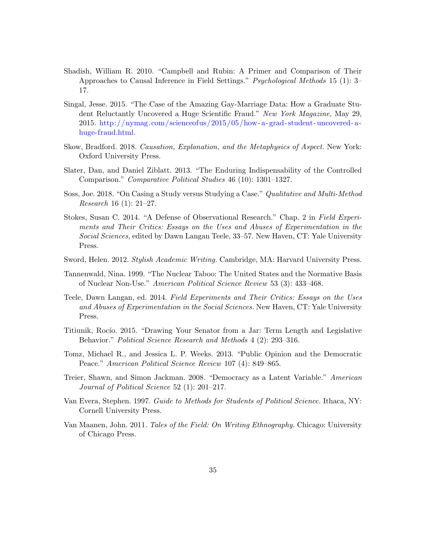- Shadish, William R. 2010. "Campbell and Rubin: A Primer and Comparison of Their Approaches to Causal Inference in Field Settings." Psychological Methods 15 (1): 3– 17.
- Singal, Jesse. 2015. "The Case of the Amazing Gay-Marriage Data: How a Graduate Student Reluctantly Uncovered a Huge Scientific Fraud." New York Magazine, May 29, 2015. [http://nymag.com/scienceofus/2015/05/how - a- grad- student- uncovered- a](http://nymag.com/scienceofus/2015/05/how-a-grad-student-uncovered-a-huge-fraud.html)[huge-fraud.html.](http://nymag.com/scienceofus/2015/05/how-a-grad-student-uncovered-a-huge-fraud.html)
- Skow, Bradford. 2018. Causation, Explanation, and the Metaphysics of Aspect. New York: Oxford University Press.
- Slater, Dan, and Daniel Ziblatt. 2013. "The Enduring Indispensability of the Controlled Comparison." Comparative Political Studies 46 (10): 1301–1327.
- Soss, Joe. 2018. "On Casing a Study versus Studying a Case." Qualitative and Multi-Method Research 16 (1): 21–27.
- Stokes, Susan C. 2014. "A Defense of Observational Research." Chap. 2 in Field Experiments and Their Critics: Essays on the Uses and Abuses of Experimentation in the Social Sciences, edited by Dawn Langan Teele, 33–57. New Haven, CT: Yale University Press.
- Sword, Helen. 2012. Stylish Academic Writing. Cambridge, MA: Harvard University Press.
- Tannenwald, Nina. 1999. "The Nuclear Taboo: The United States and the Normative Basis of Nuclear Non-Use." American Political Science Review 53 (3): 433–468.
- Teele, Dawn Langan, ed. 2014. Field Experiments and Their Critics: Essays on the Uses and Abuses of Experimentation in the Social Sciences. New Haven, CT: Yale University Press.
- <span id="page-34-0"></span>Titiunik, Rocío. 2015. "Drawing Your Senator from a Jar: Term Length and Legislative Behavior." Political Science Research and Methods 4 (2): 293–316.
- Tomz, Michael R., and Jessica L. P. Weeks. 2013. "Public Opinion and the Democratic Peace." American Political Science Review 107 (4): 849–865.
- Treier, Shawn, and Simon Jackman. 2008. "Democracy as a Latent Variable." American Journal of Political Science 52 (1): 201–217.
- Van Evera, Stephen. 1997. Guide to Methods for Students of Political Science. Ithaca, NY: Cornell University Press.
- Van Maanen, John. 2011. Tales of the Field: On Writing Ethnography. Chicago: University of Chicago Press.